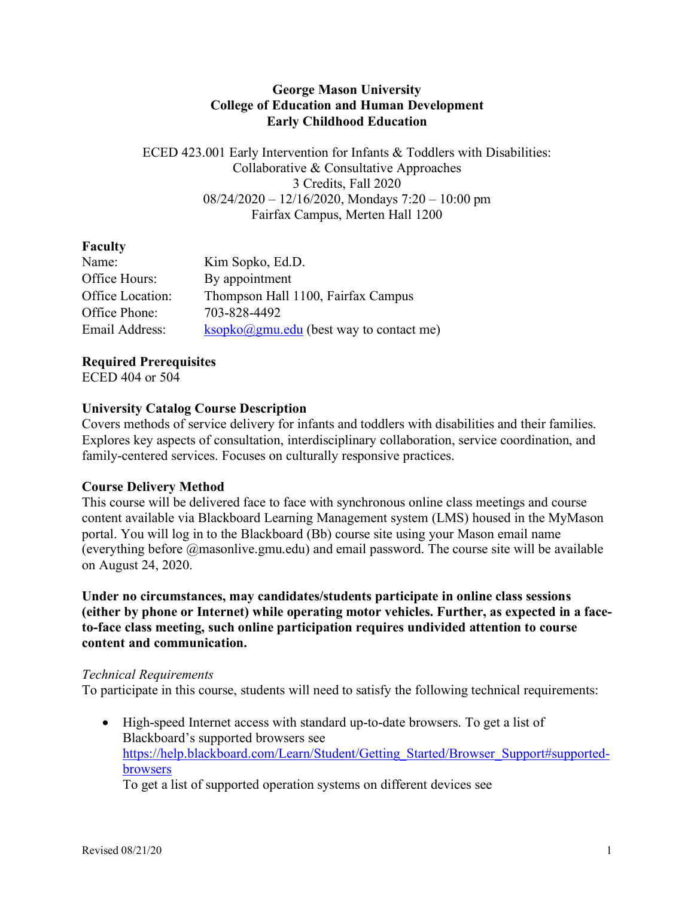#### **George Mason University College of Education and Human Development Early Childhood Education**

ECED 423.001 Early Intervention for Infants & Toddlers with Disabilities: Collaborative & Consultative Approaches 3 Credits, Fall 2020  $08/24/2020 - 12/16/2020$ , Mondays  $7:20 - 10:00$  pm Fairfax Campus, Merten Hall 1200

# **Faculty**

| Name:            | Kim Sopko, Ed.D.                                                       |
|------------------|------------------------------------------------------------------------|
| Office Hours:    | By appointment                                                         |
| Office Location: | Thompson Hall 1100, Fairfax Campus                                     |
| Office Phone:    | 703-828-4492                                                           |
| Email Address:   | $\underline{\text{ksopko}(\partial gmu.edu)}$ (best way to contact me) |

# **Required Prerequisites**

ECED 404 or 504

# **University Catalog Course Description**

Covers methods of service delivery for infants and toddlers with disabilities and their families. Explores key aspects of consultation, interdisciplinary collaboration, service coordination, and family-centered services. Focuses on culturally responsive practices.

### **Course Delivery Method**

This course will be delivered face to face with synchronous online class meetings and course content available via Blackboard Learning Management system (LMS) housed in the MyMason portal. You will log in to the Blackboard (Bb) course site using your Mason email name (everything before @masonlive.gmu.edu) and email password. The course site will be available on August 24, 2020.

**Under no circumstances, may candidates/students participate in online class sessions (either by phone or Internet) while operating motor vehicles. Further, as expected in a faceto-face class meeting, such online participation requires undivided attention to course content and communication.**

### *Technical Requirements*

To participate in this course, students will need to satisfy the following technical requirements:

• High-speed Internet access with standard up-to-date browsers. To get a list of Blackboard's supported browsers see https://help.blackboard.com/Learn/Student/Getting\_Started/Browser\_Support#supportedbrowsers

To get a list of supported operation systems on different devices see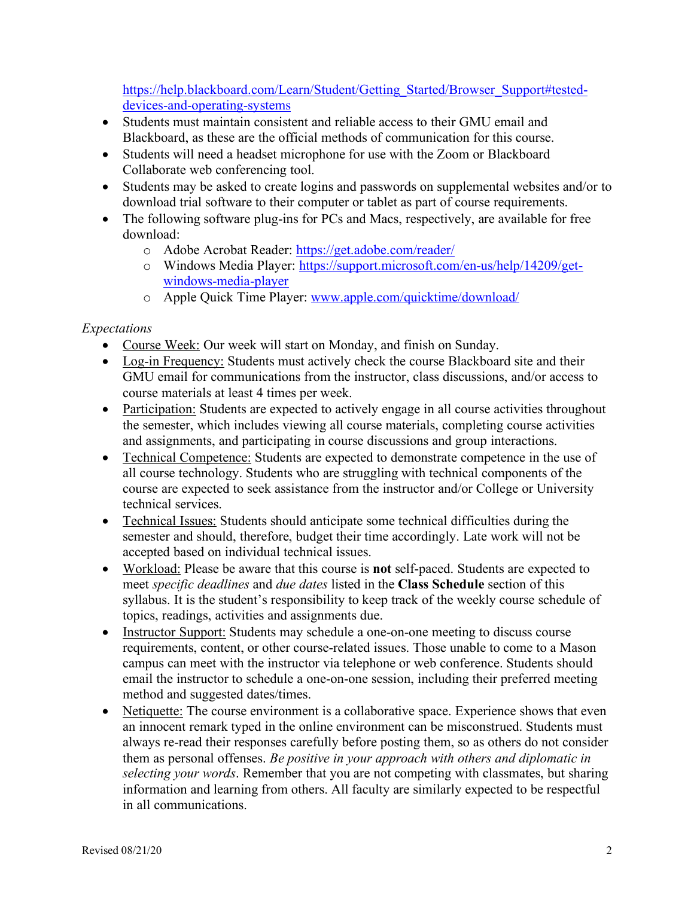https://help.blackboard.com/Learn/Student/Getting\_Started/Browser\_Support#testeddevices-and-operating-systems

- Students must maintain consistent and reliable access to their GMU email and Blackboard, as these are the official methods of communication for this course.
- Students will need a headset microphone for use with the Zoom or Blackboard Collaborate web conferencing tool.
- Students may be asked to create logins and passwords on supplemental websites and/or to download trial software to their computer or tablet as part of course requirements.
- The following software plug-ins for PCs and Macs, respectively, are available for free download:
	- o Adobe Acrobat Reader: https://get.adobe.com/reader/
	- o Windows Media Player: https://support.microsoft.com/en-us/help/14209/getwindows-media-player
	- o Apple Quick Time Player: www.apple.com/quicktime/download/

# *Expectations*

- Course Week: Our week will start on Monday, and finish on Sunday.
- Log-in Frequency: Students must actively check the course Blackboard site and their GMU email for communications from the instructor, class discussions, and/or access to course materials at least 4 times per week.
- Participation: Students are expected to actively engage in all course activities throughout the semester, which includes viewing all course materials, completing course activities and assignments, and participating in course discussions and group interactions.
- Technical Competence: Students are expected to demonstrate competence in the use of all course technology. Students who are struggling with technical components of the course are expected to seek assistance from the instructor and/or College or University technical services.
- Technical Issues: Students should anticipate some technical difficulties during the semester and should, therefore, budget their time accordingly. Late work will not be accepted based on individual technical issues.
- Workload: Please be aware that this course is **not** self-paced. Students are expected to meet *specific deadlines* and *due dates* listed in the **Class Schedule** section of this syllabus. It is the student's responsibility to keep track of the weekly course schedule of topics, readings, activities and assignments due.
- Instructor Support: Students may schedule a one-on-one meeting to discuss course requirements, content, or other course-related issues. Those unable to come to a Mason campus can meet with the instructor via telephone or web conference. Students should email the instructor to schedule a one-on-one session, including their preferred meeting method and suggested dates/times.
- Netiquette: The course environment is a collaborative space. Experience shows that even an innocent remark typed in the online environment can be misconstrued. Students must always re-read their responses carefully before posting them, so as others do not consider them as personal offenses. *Be positive in your approach with others and diplomatic in selecting your words*. Remember that you are not competing with classmates, but sharing information and learning from others. All faculty are similarly expected to be respectful in all communications.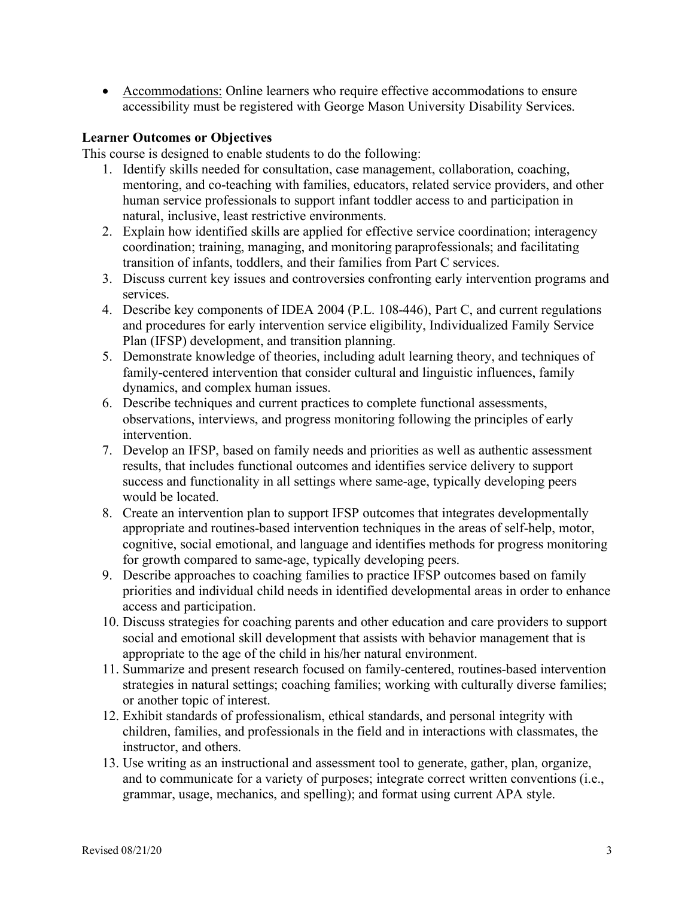• Accommodations: Online learners who require effective accommodations to ensure accessibility must be registered with George Mason University Disability Services.

#### **Learner Outcomes or Objectives**

This course is designed to enable students to do the following:

- 1. Identify skills needed for consultation, case management, collaboration, coaching, mentoring, and co-teaching with families, educators, related service providers, and other human service professionals to support infant toddler access to and participation in natural, inclusive, least restrictive environments.
- 2. Explain how identified skills are applied for effective service coordination; interagency coordination; training, managing, and monitoring paraprofessionals; and facilitating transition of infants, toddlers, and their families from Part C services.
- 3. Discuss current key issues and controversies confronting early intervention programs and services.
- 4. Describe key components of IDEA 2004 (P.L. 108-446), Part C, and current regulations and procedures for early intervention service eligibility, Individualized Family Service Plan (IFSP) development, and transition planning.
- 5. Demonstrate knowledge of theories, including adult learning theory, and techniques of family-centered intervention that consider cultural and linguistic influences, family dynamics, and complex human issues.
- 6. Describe techniques and current practices to complete functional assessments, observations, interviews, and progress monitoring following the principles of early intervention.
- 7. Develop an IFSP, based on family needs and priorities as well as authentic assessment results, that includes functional outcomes and identifies service delivery to support success and functionality in all settings where same-age, typically developing peers would be located.
- 8. Create an intervention plan to support IFSP outcomes that integrates developmentally appropriate and routines-based intervention techniques in the areas of self-help, motor, cognitive, social emotional, and language and identifies methods for progress monitoring for growth compared to same-age, typically developing peers.
- 9. Describe approaches to coaching families to practice IFSP outcomes based on family priorities and individual child needs in identified developmental areas in order to enhance access and participation.
- 10. Discuss strategies for coaching parents and other education and care providers to support social and emotional skill development that assists with behavior management that is appropriate to the age of the child in his/her natural environment.
- 11. Summarize and present research focused on family-centered, routines-based intervention strategies in natural settings; coaching families; working with culturally diverse families; or another topic of interest.
- 12. Exhibit standards of professionalism, ethical standards, and personal integrity with children, families, and professionals in the field and in interactions with classmates, the instructor, and others.
- 13. Use writing as an instructional and assessment tool to generate, gather, plan, organize, and to communicate for a variety of purposes; integrate correct written conventions (i.e., grammar, usage, mechanics, and spelling); and format using current APA style.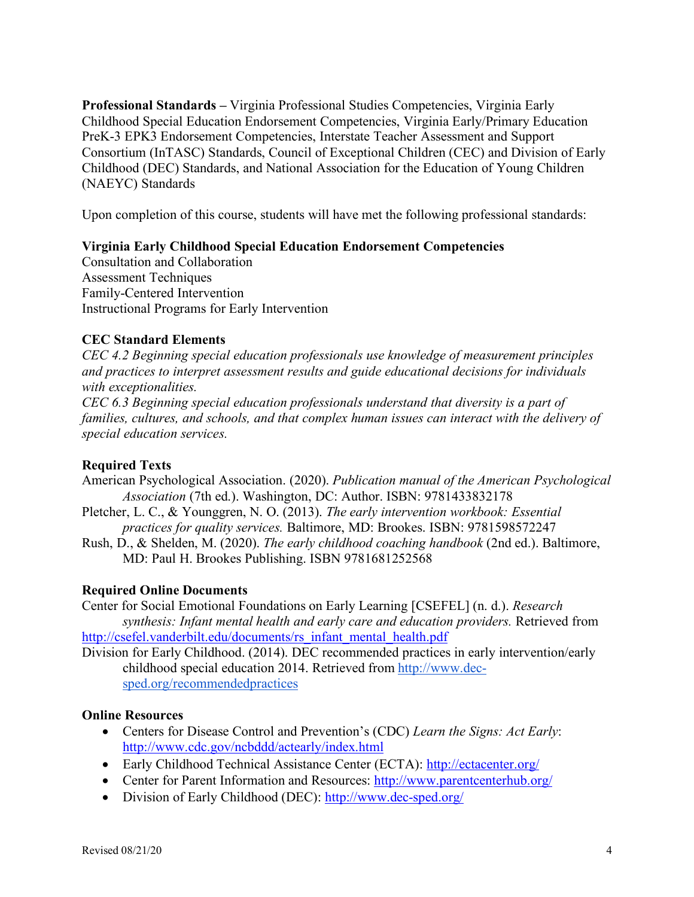**Professional Standards –** Virginia Professional Studies Competencies, Virginia Early Childhood Special Education Endorsement Competencies, Virginia Early/Primary Education PreK-3 EPK3 Endorsement Competencies, Interstate Teacher Assessment and Support Consortium (InTASC) Standards, Council of Exceptional Children (CEC) and Division of Early Childhood (DEC) Standards, and National Association for the Education of Young Children (NAEYC) Standards

Upon completion of this course, students will have met the following professional standards:

### **Virginia Early Childhood Special Education Endorsement Competencies**

Consultation and Collaboration Assessment Techniques Family-Centered Intervention Instructional Programs for Early Intervention

### **CEC Standard Elements**

*CEC 4.2 Beginning special education professionals use knowledge of measurement principles and practices to interpret assessment results and guide educational decisions for individuals with exceptionalities.*

*CEC 6.3 Beginning special education professionals understand that diversity is a part of families, cultures, and schools, and that complex human issues can interact with the delivery of special education services.* 

### **Required Texts**

- American Psychological Association. (2020). *Publication manual of the American Psychological Association* (7th ed.). Washington, DC: Author. ISBN: 9781433832178
- Pletcher, L. C., & Younggren, N. O. (2013). *The early intervention workbook: Essential practices for quality services.* Baltimore, MD: Brookes. ISBN: 9781598572247
- Rush, D., & Shelden, M. (2020). *The early childhood coaching handbook* (2nd ed.). Baltimore, MD: Paul H. Brookes Publishing. ISBN 9781681252568

### **Required Online Documents**

Center for Social Emotional Foundations on Early Learning [CSEFEL] (n. d.). *Research synthesis: Infant mental health and early care and education providers.* Retrieved from http://csefel.vanderbilt.edu/documents/rs\_infant\_mental\_health.pdf

Division for Early Childhood. (2014). DEC recommended practices in early intervention/early childhood special education 2014. Retrieved from http://www.decsped.org/recommendedpractices

### **Online Resources**

- Centers for Disease Control and Prevention's (CDC) *Learn the Signs: Act Early*: http://www.cdc.gov/ncbddd/actearly/index.html
- Early Childhood Technical Assistance Center (ECTA): http://ectacenter.org/
- Center for Parent Information and Resources: http://www.parentcenterhub.org/
- Division of Early Childhood (DEC): http://www.dec-sped.org/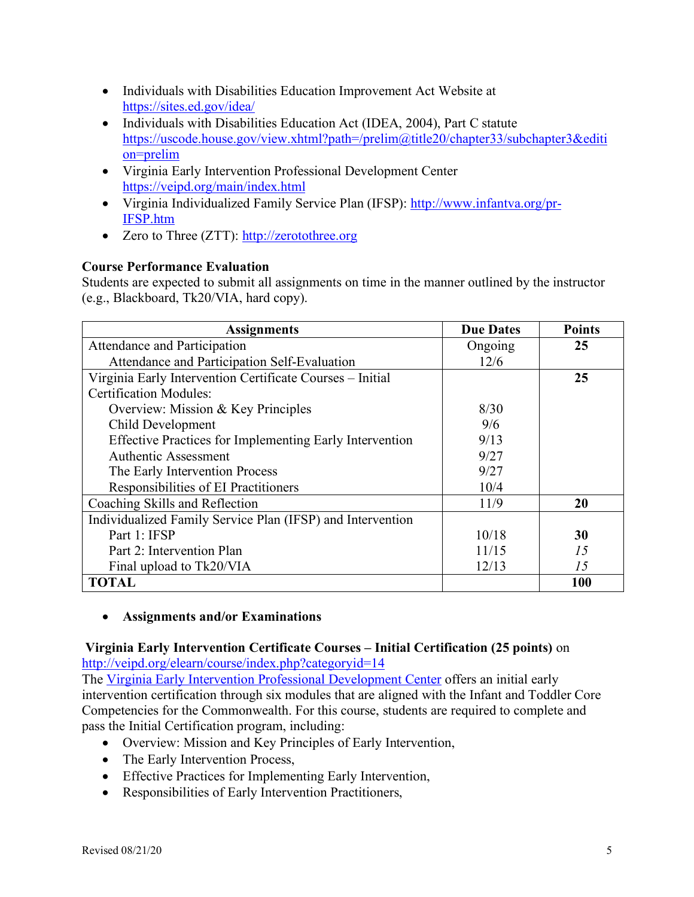- Individuals with Disabilities Education Improvement Act Website at https://sites.ed.gov/idea/
- Individuals with Disabilities Education Act (IDEA, 2004), Part C statute https://uscode.house.gov/view.xhtml?path=/prelim@title20/chapter33/subchapter3&editi on=prelim
- Virginia Early Intervention Professional Development Center https://veipd.org/main/index.html
- Virginia Individualized Family Service Plan (IFSP): http://www.infantva.org/pr-IFSP.htm
- Zero to Three (ZTT): http://zerotothree.org

# **Course Performance Evaluation**

Students are expected to submit all assignments on time in the manner outlined by the instructor (e.g., Blackboard, Tk20/VIA, hard copy).

| <b>Assignments</b>                                         | <b>Due Dates</b> | <b>Points</b> |
|------------------------------------------------------------|------------------|---------------|
| Attendance and Participation                               | Ongoing          | 25            |
| Attendance and Participation Self-Evaluation               | 12/6             |               |
| Virginia Early Intervention Certificate Courses – Initial  |                  | 25            |
| <b>Certification Modules:</b>                              |                  |               |
| Overview: Mission & Key Principles                         | 8/30             |               |
| Child Development                                          | 9/6              |               |
| Effective Practices for Implementing Early Intervention    | 9/13             |               |
| <b>Authentic Assessment</b>                                | 9/27             |               |
| The Early Intervention Process                             | 9/27             |               |
| Responsibilities of EI Practitioners                       | 10/4             |               |
| Coaching Skills and Reflection                             | 11/9             | 20            |
| Individualized Family Service Plan (IFSP) and Intervention |                  |               |
| Part 1: IFSP                                               | 10/18            | 30            |
| Part 2: Intervention Plan                                  | 11/15            | 15            |
| Final upload to Tk20/VIA                                   | 12/13            | 15            |
| <b>TOTAL</b>                                               |                  | 100           |

# • **Assignments and/or Examinations**

# **Virginia Early Intervention Certificate Courses – Initial Certification (25 points)** on http://veipd.org/elearn/course/index.php?categoryid=14

The Virginia Early Intervention Professional Development Center offers an initial early intervention certification through six modules that are aligned with the Infant and Toddler Core Competencies for the Commonwealth. For this course, students are required to complete and pass the Initial Certification program, including:

- Overview: Mission and Key Principles of Early Intervention,
- The Early Intervention Process,
- Effective Practices for Implementing Early Intervention,
- Responsibilities of Early Intervention Practitioners,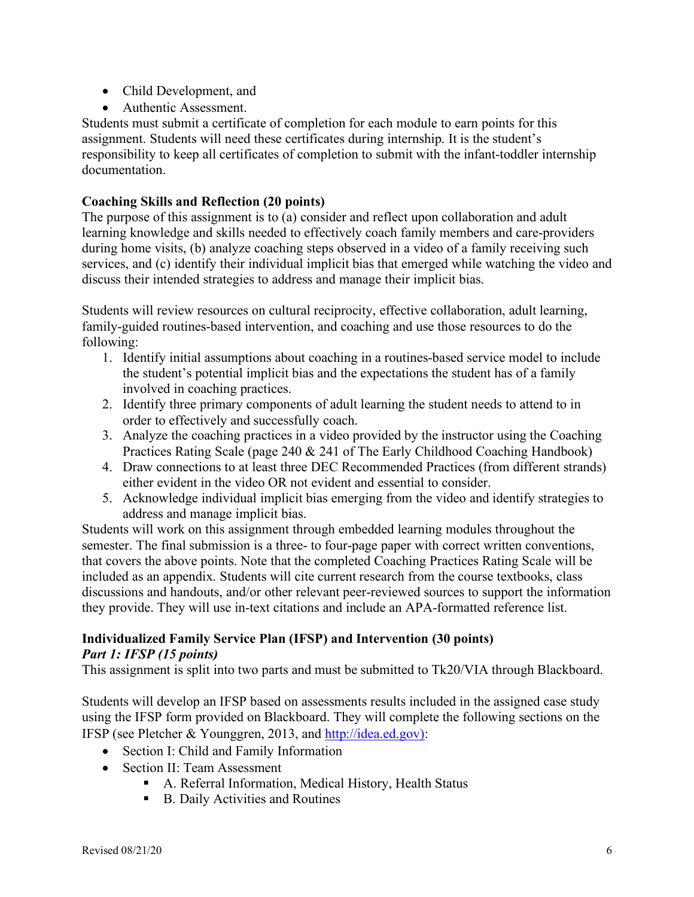- Child Development, and
- Authentic Assessment.

Students must submit a certificate of completion for each module to earn points for this assignment. Students will need these certificates during internship. It is the student's responsibility to keep all certificates of completion to submit with the infant-toddler internship documentation.

#### **Coaching Skills and Reflection (20 points)**

The purpose of this assignment is to (a) consider and reflect upon collaboration and adult learning knowledge and skills needed to effectively coach family members and care-providers during home visits, (b) analyze coaching steps observed in a video of a family receiving such services, and (c) identify their individual implicit bias that emerged while watching the video and discuss their intended strategies to address and manage their implicit bias.

Students will review resources on cultural reciprocity, effective collaboration, adult learning, family-guided routines-based intervention, and coaching and use those resources to do the following:

- 1. Identify initial assumptions about coaching in a routines-based service model to include the student's potential implicit bias and the expectations the student has of a family involved in coaching practices.
- 2. Identify three primary components of adult learning the student needs to attend to in order to effectively and successfully coach.
- 3. Analyze the coaching practices in a video provided by the instructor using the Coaching Practices Rating Scale (page 240 & 241 of The Early Childhood Coaching Handbook)
- 4. Draw connections to at least three DEC Recommended Practices (from different strands) either evident in the video OR not evident and essential to consider.
- 5. Acknowledge individual implicit bias emerging from the video and identify strategies to address and manage implicit bias.

Students will work on this assignment through embedded learning modules throughout the semester. The final submission is a three- to four-page paper with correct written conventions, that covers the above points. Note that the completed Coaching Practices Rating Scale will be included as an appendix. Students will cite current research from the course textbooks, class discussions and handouts, and/or other relevant peer-reviewed sources to support the information they provide. They will use in-text citations and include an APA-formatted reference list.

#### **Individualized Family Service Plan (IFSP) and Intervention (30 points)**  *Part 1: IFSP (15 points)*

This assignment is split into two parts and must be submitted to Tk20/VIA through Blackboard.

Students will develop an IFSP based on assessments results included in the assigned case study using the IFSP form provided on Blackboard. They will complete the following sections on the IFSP (see Pletcher & Younggren, 2013, and http://idea.ed.gov):

- Section I: Child and Family Information
- Section II: Team Assessment
	- A. Referral Information, Medical History, Health Status
	- B. Daily Activities and Routines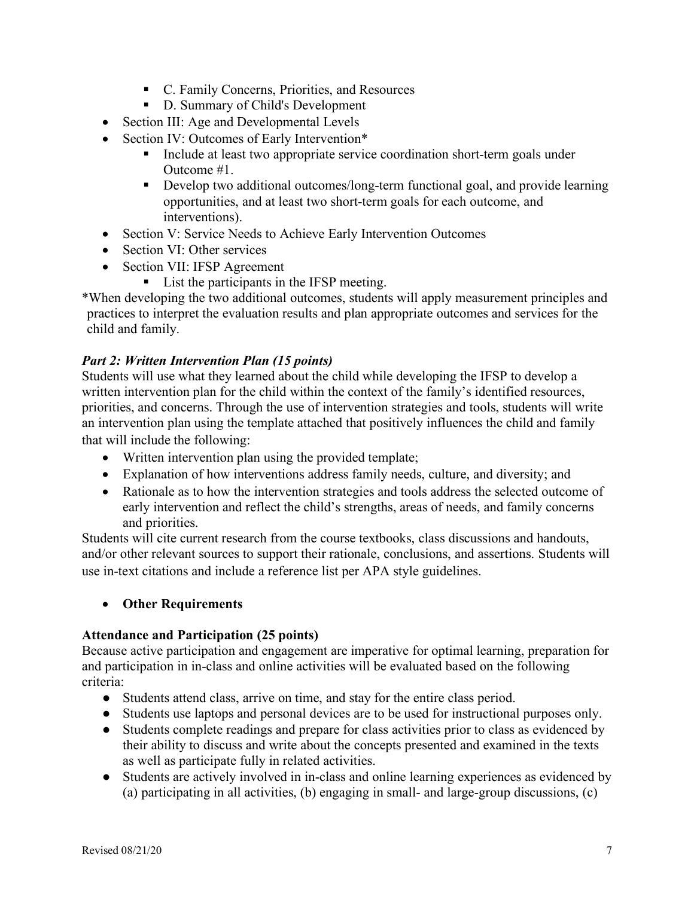- C. Family Concerns, Priorities, and Resources
- D. Summary of Child's Development
- Section III: Age and Developmental Levels
- Section IV: Outcomes of Early Intervention\*
	- Include at least two appropriate service coordination short-term goals under Outcome #1.
	- Develop two additional outcomes/long-term functional goal, and provide learning opportunities, and at least two short-term goals for each outcome, and interventions).
- Section V: Service Needs to Achieve Early Intervention Outcomes
- Section VI: Other services
- Section VII: IFSP Agreement
	- List the participants in the IFSP meeting.

\*When developing the two additional outcomes, students will apply measurement principles and practices to interpret the evaluation results and plan appropriate outcomes and services for the child and family.

# *Part 2: Written Intervention Plan (15 points)*

Students will use what they learned about the child while developing the IFSP to develop a written intervention plan for the child within the context of the family's identified resources, priorities, and concerns. Through the use of intervention strategies and tools, students will write an intervention plan using the template attached that positively influences the child and family that will include the following:

- Written intervention plan using the provided template;
- Explanation of how interventions address family needs, culture, and diversity; and
- Rationale as to how the intervention strategies and tools address the selected outcome of early intervention and reflect the child's strengths, areas of needs, and family concerns and priorities.

Students will cite current research from the course textbooks, class discussions and handouts, and/or other relevant sources to support their rationale, conclusions, and assertions. Students will use in-text citations and include a reference list per APA style guidelines.

### • **Other Requirements**

### **Attendance and Participation (25 points)**

Because active participation and engagement are imperative for optimal learning, preparation for and participation in in-class and online activities will be evaluated based on the following criteria:

- Students attend class, arrive on time, and stay for the entire class period.
- Students use laptops and personal devices are to be used for instructional purposes only.
- Students complete readings and prepare for class activities prior to class as evidenced by their ability to discuss and write about the concepts presented and examined in the texts as well as participate fully in related activities.
- Students are actively involved in in-class and online learning experiences as evidenced by (a) participating in all activities, (b) engaging in small- and large-group discussions, (c)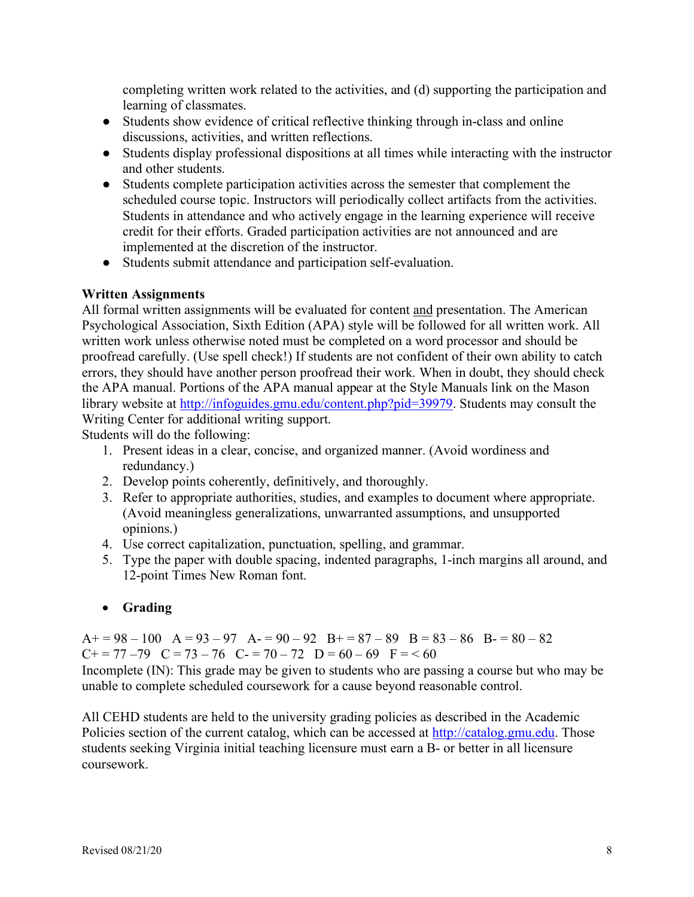completing written work related to the activities, and (d) supporting the participation and learning of classmates.

- Students show evidence of critical reflective thinking through in-class and online discussions, activities, and written reflections.
- Students display professional dispositions at all times while interacting with the instructor and other students.
- Students complete participation activities across the semester that complement the scheduled course topic. Instructors will periodically collect artifacts from the activities. Students in attendance and who actively engage in the learning experience will receive credit for their efforts. Graded participation activities are not announced and are implemented at the discretion of the instructor.
- Students submit attendance and participation self-evaluation.

# **Written Assignments**

All formal written assignments will be evaluated for content and presentation. The American Psychological Association, Sixth Edition (APA) style will be followed for all written work. All written work unless otherwise noted must be completed on a word processor and should be proofread carefully. (Use spell check!) If students are not confident of their own ability to catch errors, they should have another person proofread their work. When in doubt, they should check the APA manual. Portions of the APA manual appear at the Style Manuals link on the Mason library website at http://infoguides.gmu.edu/content.php?pid=39979. Students may consult the Writing Center for additional writing support.

Students will do the following:

- 1. Present ideas in a clear, concise, and organized manner. (Avoid wordiness and redundancy.)
- 2. Develop points coherently, definitively, and thoroughly.
- 3. Refer to appropriate authorities, studies, and examples to document where appropriate. (Avoid meaningless generalizations, unwarranted assumptions, and unsupported opinions.)
- 4. Use correct capitalization, punctuation, spelling, and grammar.
- 5. Type the paper with double spacing, indented paragraphs, 1-inch margins all around, and 12-point Times New Roman font.

# • **Grading**

 $A+= 98-100$   $A= 93-97$   $A=- 90-92$   $B+= 87-89$   $B= 83-86$   $B=- 80-82$  $C+=77-79$   $C=73-76$   $C=70-72$   $D=60-69$   $F=<60$ 

Incomplete (IN): This grade may be given to students who are passing a course but who may be unable to complete scheduled coursework for a cause beyond reasonable control.

All CEHD students are held to the university grading policies as described in the Academic Policies section of the current catalog, which can be accessed at http://catalog.gmu.edu. Those students seeking Virginia initial teaching licensure must earn a B- or better in all licensure coursework.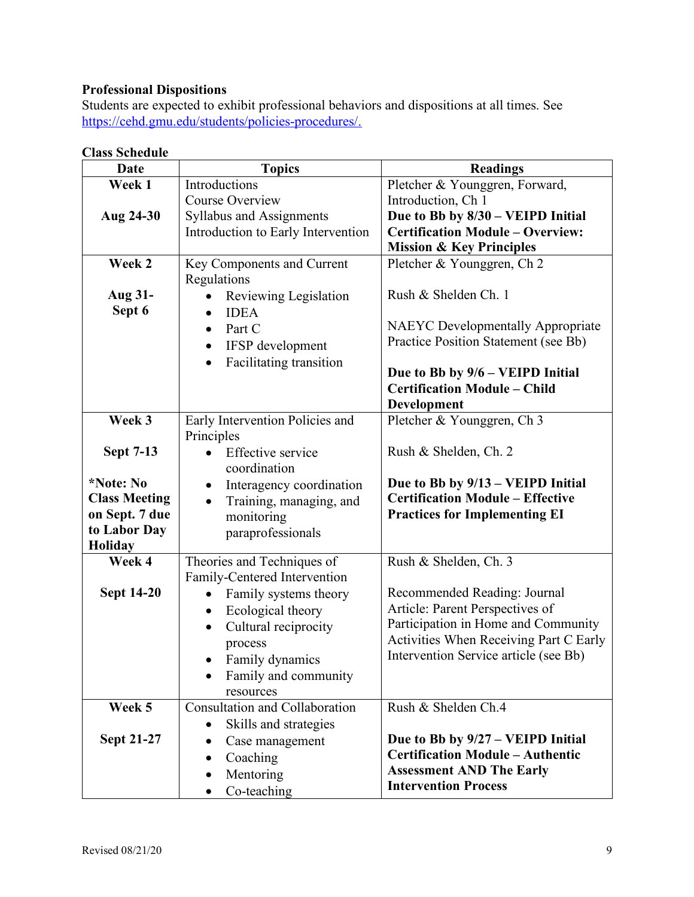# **Professional Dispositions**

Students are expected to exhibit professional behaviors and dispositions at all times. See https://cehd.gmu.edu/students/policies-procedures/.

| <b>Date</b>          | <b>Topics</b>                         | <b>Readings</b>                          |  |
|----------------------|---------------------------------------|------------------------------------------|--|
| Week 1               | Introductions                         | Pletcher & Younggren, Forward,           |  |
|                      | Course Overview                       | Introduction, Ch 1                       |  |
| Aug 24-30            | <b>Syllabus and Assignments</b>       | Due to Bb by 8/30 - VEIPD Initial        |  |
|                      | Introduction to Early Intervention    | <b>Certification Module - Overview:</b>  |  |
|                      |                                       | <b>Mission &amp; Key Principles</b>      |  |
| Week 2               | Key Components and Current            | Pletcher & Younggren, Ch 2               |  |
|                      | Regulations                           |                                          |  |
| Aug 31-              | Reviewing Legislation                 | Rush & Shelden Ch. 1                     |  |
| Sept 6               | <b>IDEA</b><br>$\bullet$              |                                          |  |
|                      | Part C<br>$\bullet$                   | <b>NAEYC</b> Developmentally Appropriate |  |
|                      | IFSP development<br>$\bullet$         | Practice Position Statement (see Bb)     |  |
|                      | Facilitating transition<br>$\bullet$  |                                          |  |
|                      |                                       | Due to Bb by 9/6 - VEIPD Initial         |  |
|                      |                                       | <b>Certification Module - Child</b>      |  |
|                      |                                       | Development                              |  |
| Week 3               | Early Intervention Policies and       | Pletcher & Younggren, Ch 3               |  |
|                      | Principles                            |                                          |  |
| <b>Sept 7-13</b>     | <b>Effective</b> service              | Rush & Shelden, Ch. 2                    |  |
|                      | coordination                          |                                          |  |
| *Note: No            | Interagency coordination<br>$\bullet$ | Due to Bb by 9/13 - VEIPD Initial        |  |
| <b>Class Meeting</b> | Training, managing, and<br>$\bullet$  | <b>Certification Module - Effective</b>  |  |
| on Sept. 7 due       | monitoring                            | <b>Practices for Implementing EI</b>     |  |
| to Labor Day         | paraprofessionals                     |                                          |  |
| <b>Holiday</b>       |                                       |                                          |  |
| Week 4               | Theories and Techniques of            | Rush & Shelden, Ch. 3                    |  |
|                      | Family-Centered Intervention          |                                          |  |
| <b>Sept 14-20</b>    | Family systems theory<br>$\bullet$    | Recommended Reading: Journal             |  |
|                      | Ecological theory<br>$\bullet$        | Article: Parent Perspectives of          |  |
|                      | Cultural reciprocity<br>$\bullet$     | Participation in Home and Community      |  |
|                      | process                               | Activities When Receiving Part C Early   |  |
|                      | Family dynamics<br>$\bullet$          | Intervention Service article (see Bb)    |  |
|                      | Family and community                  |                                          |  |
|                      | resources                             |                                          |  |
| Week 5               | Consultation and Collaboration        | Rush & Shelden Ch.4                      |  |
|                      | Skills and strategies                 |                                          |  |
| <b>Sept 21-27</b>    | Case management<br>٠                  | Due to Bb by 9/27 – VEIPD Initial        |  |
|                      | Coaching<br>$\bullet$                 | <b>Certification Module - Authentic</b>  |  |
|                      | Mentoring<br>٠                        | <b>Assessment AND The Early</b>          |  |
|                      | Co-teaching                           | <b>Intervention Process</b>              |  |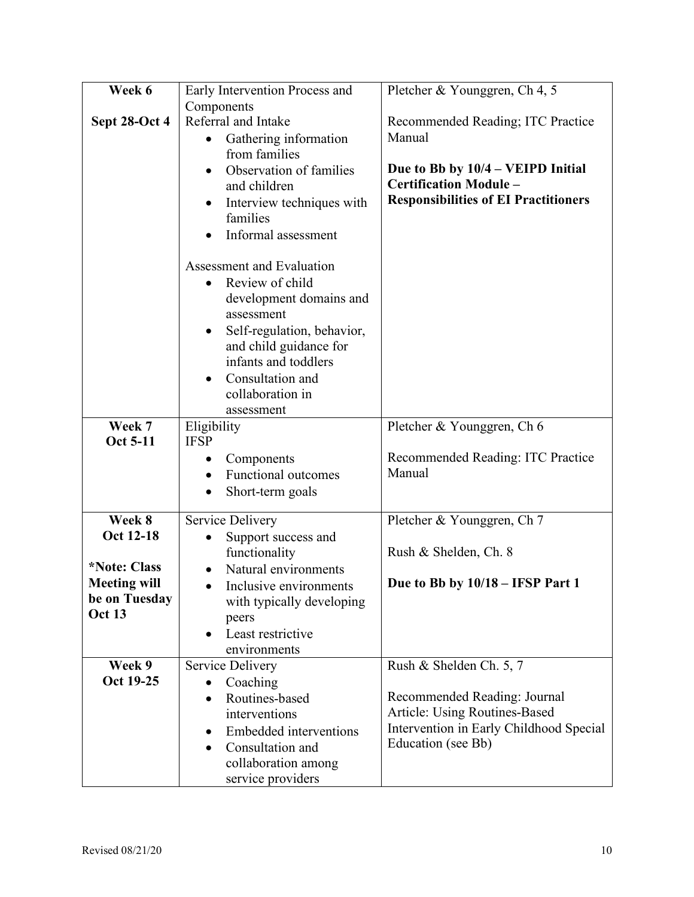| Week 6                     | Early Intervention Process and                 | Pletcher & Younggren, Ch 4, 5               |  |
|----------------------------|------------------------------------------------|---------------------------------------------|--|
|                            | Components                                     |                                             |  |
| Sept 28-Oct 4              | Referral and Intake                            | Recommended Reading; ITC Practice           |  |
|                            | Gathering information                          | Manual                                      |  |
|                            | from families                                  |                                             |  |
|                            | Observation of families<br>$\bullet$           | Due to Bb by 10/4 – VEIPD Initial           |  |
|                            | and children                                   | <b>Certification Module -</b>               |  |
|                            | Interview techniques with                      | <b>Responsibilities of EI Practitioners</b> |  |
|                            | families                                       |                                             |  |
|                            | Informal assessment                            |                                             |  |
|                            | Assessment and Evaluation                      |                                             |  |
|                            | Review of child                                |                                             |  |
|                            | development domains and                        |                                             |  |
|                            | assessment                                     |                                             |  |
|                            | Self-regulation, behavior,<br>٠                |                                             |  |
|                            | and child guidance for<br>infants and toddlers |                                             |  |
|                            | Consultation and                               |                                             |  |
|                            | collaboration in                               |                                             |  |
|                            | assessment                                     |                                             |  |
| Week 7                     | Eligibility                                    | Pletcher & Younggren, Ch 6                  |  |
| Oct 5-11                   | <b>IFSP</b>                                    |                                             |  |
|                            | Components<br>٠                                | Recommended Reading: ITC Practice           |  |
|                            | Functional outcomes<br>$\bullet$               | Manual                                      |  |
|                            | Short-term goals                               |                                             |  |
| Week 8                     | Service Delivery                               | Pletcher & Younggren, Ch 7                  |  |
| Oct 12-18                  | Support success and                            |                                             |  |
|                            | functionality                                  | Rush & Shelden, Ch. 8                       |  |
| <i><b>*Note: Class</b></i> | Natural environments                           |                                             |  |
| <b>Meeting will</b>        | Inclusive environments                         | Due to Bb by $10/18 - IFSP$ Part 1          |  |
| be on Tuesday              | with typically developing                      |                                             |  |
| <b>Oct 13</b>              | peers                                          |                                             |  |
|                            | Least restrictive                              |                                             |  |
|                            | environments                                   |                                             |  |
| Week 9                     | Service Delivery                               | Rush & Shelden Ch. 5, 7                     |  |
| Oct 19-25                  | Coaching<br>$\bullet$                          |                                             |  |
|                            | Routines-based                                 | Recommended Reading: Journal                |  |
|                            | interventions                                  | Article: Using Routines-Based               |  |
|                            | Embedded interventions                         | Intervention in Early Childhood Special     |  |
|                            | Consultation and                               | Education (see Bb)                          |  |
|                            | collaboration among                            |                                             |  |
|                            | service providers                              |                                             |  |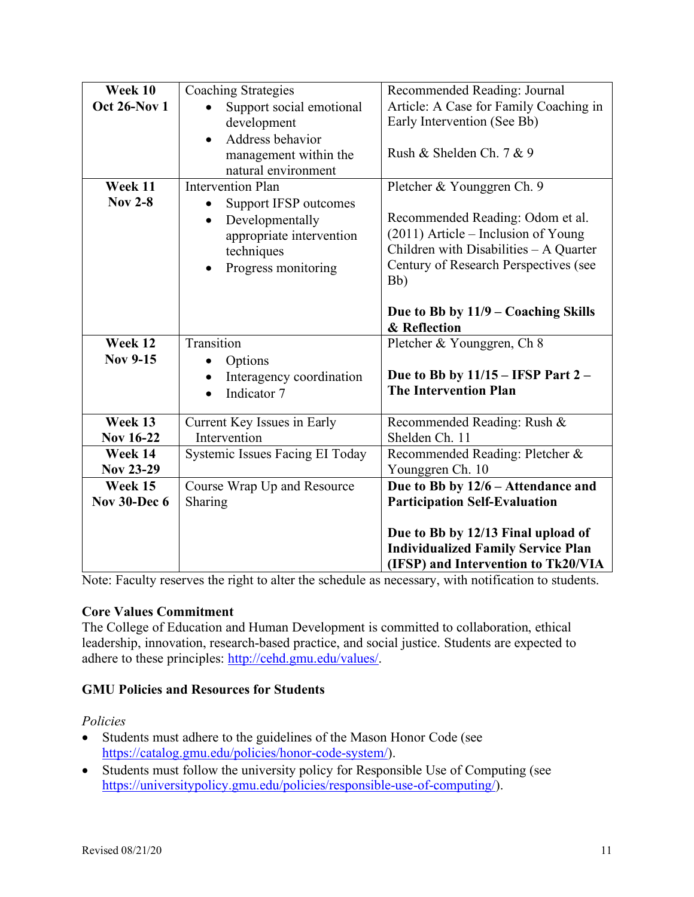| Week 10             | <b>Coaching Strategies</b>            | Recommended Reading: Journal              |
|---------------------|---------------------------------------|-------------------------------------------|
| <b>Oct 26-Nov 1</b> | Support social emotional              | Article: A Case for Family Coaching in    |
|                     | development                           | Early Intervention (See Bb)               |
|                     | Address behavior                      |                                           |
|                     | management within the                 | Rush & Shelden Ch. 7 & 9                  |
|                     | natural environment                   |                                           |
| Week 11             | <b>Intervention Plan</b>              | Pletcher & Younggren Ch. 9                |
| <b>Nov 2-8</b>      | Support IFSP outcomes                 |                                           |
|                     | Developmentally<br>$\bullet$          | Recommended Reading: Odom et al.          |
|                     | appropriate intervention              | (2011) Article – Inclusion of Young       |
|                     | techniques                            | Children with Disabilities - A Quarter    |
|                     | Progress monitoring<br>$\bullet$      | Century of Research Perspectives (see     |
|                     |                                       | Bb)                                       |
|                     |                                       |                                           |
|                     |                                       | Due to Bb by $11/9$ – Coaching Skills     |
|                     |                                       | & Reflection                              |
| Week 12             | Transition                            | Pletcher & Younggren, Ch 8                |
| <b>Nov 9-15</b>     | Options<br>$\bullet$                  |                                           |
|                     | Interagency coordination<br>$\bullet$ | Due to Bb by $11/15$ – IFSP Part 2 –      |
|                     | Indicator 7<br>$\bullet$              | <b>The Intervention Plan</b>              |
|                     |                                       |                                           |
| Week 13             | Current Key Issues in Early           | Recommended Reading: Rush &               |
| <b>Nov 16-22</b>    | Intervention                          | Shelden Ch. 11                            |
| Week 14             | Systemic Issues Facing EI Today       | Recommended Reading: Pletcher &           |
| <b>Nov 23-29</b>    |                                       | Younggren Ch. 10                          |
| Week 15             | Course Wrap Up and Resource           | Due to Bb by 12/6 - Attendance and        |
| <b>Nov 30-Dec 6</b> | Sharing                               | <b>Participation Self-Evaluation</b>      |
|                     |                                       |                                           |
|                     |                                       | Due to Bb by 12/13 Final upload of        |
|                     |                                       | <b>Individualized Family Service Plan</b> |
|                     |                                       | (IFSP) and Intervention to Tk20/VIA       |

Note: Faculty reserves the right to alter the schedule as necessary, with notification to students.

### **Core Values Commitment**

The College of Education and Human Development is committed to collaboration, ethical leadership, innovation, research-based practice, and social justice. Students are expected to adhere to these principles: http://cehd.gmu.edu/values/.

### **GMU Policies and Resources for Students**

#### *Policies*

- Students must adhere to the guidelines of the Mason Honor Code (see https://catalog.gmu.edu/policies/honor-code-system/).
- Students must follow the university policy for Responsible Use of Computing (see https://universitypolicy.gmu.edu/policies/responsible-use-of-computing/).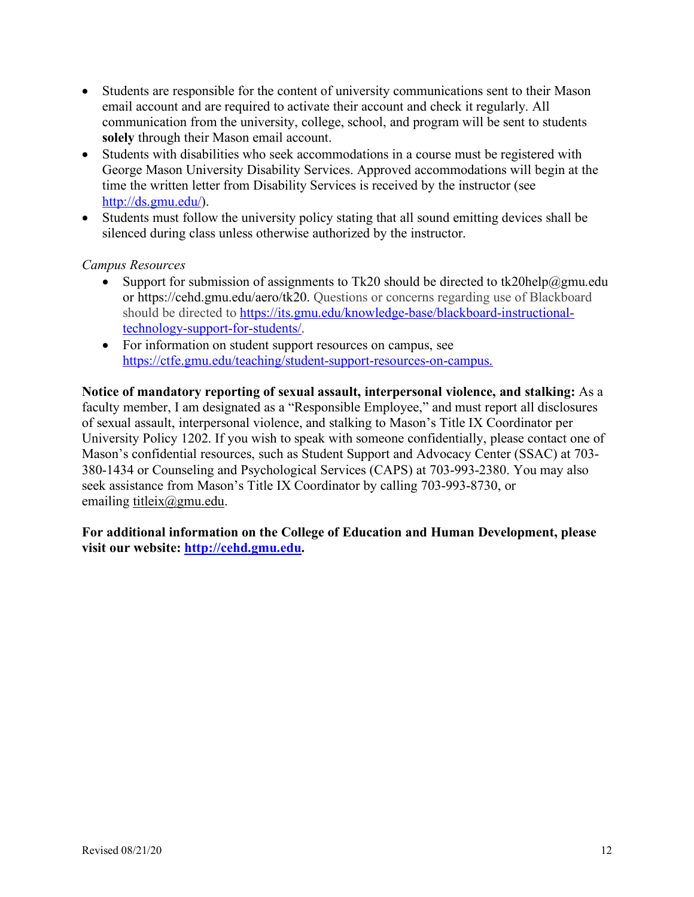- Students are responsible for the content of university communications sent to their Mason email account and are required to activate their account and check it regularly. All communication from the university, college, school, and program will be sent to students **solely** through their Mason email account.
- Students with disabilities who seek accommodations in a course must be registered with George Mason University Disability Services. Approved accommodations will begin at the time the written letter from Disability Services is received by the instructor (see http://ds.gmu.edu/).
- Students must follow the university policy stating that all sound emitting devices shall be silenced during class unless otherwise authorized by the instructor.

### *Campus Resources*

- Support for submission of assignments to Tk20 should be directed to tk20help@gmu.edu or https://cehd.gmu.edu/aero/tk20. Questions or concerns regarding use of Blackboard should be directed to https://its.gmu.edu/knowledge-base/blackboard-instructionaltechnology-support-for-students/.
- For information on student support resources on campus, see https://ctfe.gmu.edu/teaching/student-support-resources-on-campus.

**Notice of mandatory reporting of sexual assault, interpersonal violence, and stalking:** As a faculty member, I am designated as a "Responsible Employee," and must report all disclosures of sexual assault, interpersonal violence, and stalking to Mason's Title IX Coordinator per University Policy 1202. If you wish to speak with someone confidentially, please contact one of Mason's confidential resources, such as Student Support and Advocacy Center (SSAC) at 703- 380-1434 or Counseling and Psychological Services (CAPS) at 703-993-2380. You may also seek assistance from Mason's Title IX Coordinator by calling 703-993-8730, or emailing titleix@gmu.edu.

**For additional information on the College of Education and Human Development, please visit our website: http://cehd.gmu.edu.**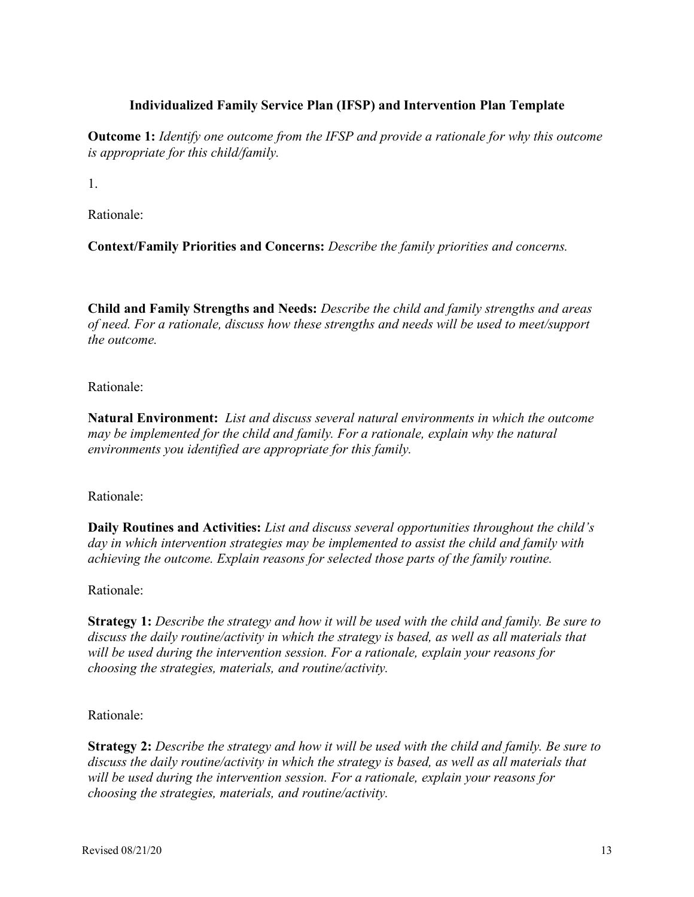### **Individualized Family Service Plan (IFSP) and Intervention Plan Template**

**Outcome 1:** *Identify one outcome from the IFSP and provide a rationale for why this outcome is appropriate for this child/family.*

1.

Rationale:

**Context/Family Priorities and Concerns:** *Describe the family priorities and concerns.* 

**Child and Family Strengths and Needs:** *Describe the child and family strengths and areas of need. For a rationale, discuss how these strengths and needs will be used to meet/support the outcome.*

Rationale:

**Natural Environment:** *List and discuss several natural environments in which the outcome may be implemented for the child and family. For a rationale, explain why the natural environments you identified are appropriate for this family.*

Rationale:

**Daily Routines and Activities:** *List and discuss several opportunities throughout the child's day in which intervention strategies may be implemented to assist the child and family with achieving the outcome. Explain reasons for selected those parts of the family routine.*

Rationale:

**Strategy 1:** *Describe the strategy and how it will be used with the child and family. Be sure to discuss the daily routine/activity in which the strategy is based, as well as all materials that will be used during the intervention session. For a rationale, explain your reasons for choosing the strategies, materials, and routine/activity.*

Rationale:

**Strategy 2:** *Describe the strategy and how it will be used with the child and family. Be sure to discuss the daily routine/activity in which the strategy is based, as well as all materials that will be used during the intervention session. For a rationale, explain your reasons for choosing the strategies, materials, and routine/activity.*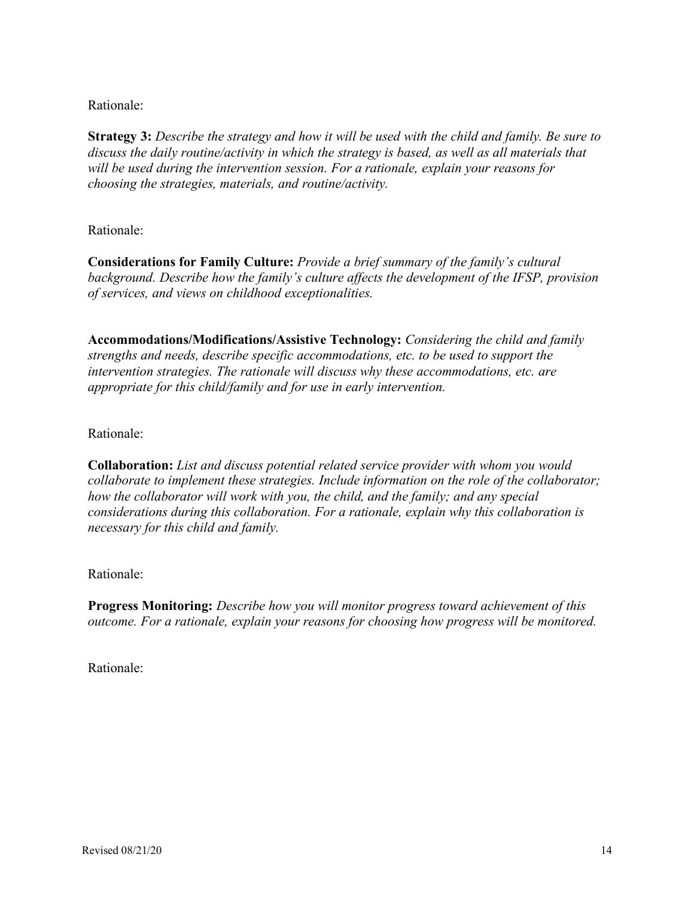#### Rationale:

**Strategy 3:** *Describe the strategy and how it will be used with the child and family. Be sure to discuss the daily routine/activity in which the strategy is based, as well as all materials that will be used during the intervention session. For a rationale, explain your reasons for choosing the strategies, materials, and routine/activity.*

#### Rationale:

**Considerations for Family Culture:** *Provide a brief summary of the family's cultural background. Describe how the family's culture affects the development of the IFSP, provision of services, and views on childhood exceptionalities.*

**Accommodations/Modifications/Assistive Technology:** *Considering the child and family strengths and needs, describe specific accommodations, etc. to be used to support the intervention strategies. The rationale will discuss why these accommodations, etc. are appropriate for this child/family and for use in early intervention.*

#### Rationale:

**Collaboration:** *List and discuss potential related service provider with whom you would collaborate to implement these strategies. Include information on the role of the collaborator; how the collaborator will work with you, the child, and the family; and any special considerations during this collaboration. For a rationale, explain why this collaboration is necessary for this child and family.*

### Rationale:

**Progress Monitoring:** *Describe how you will monitor progress toward achievement of this outcome. For a rationale, explain your reasons for choosing how progress will be monitored.*

Rationale: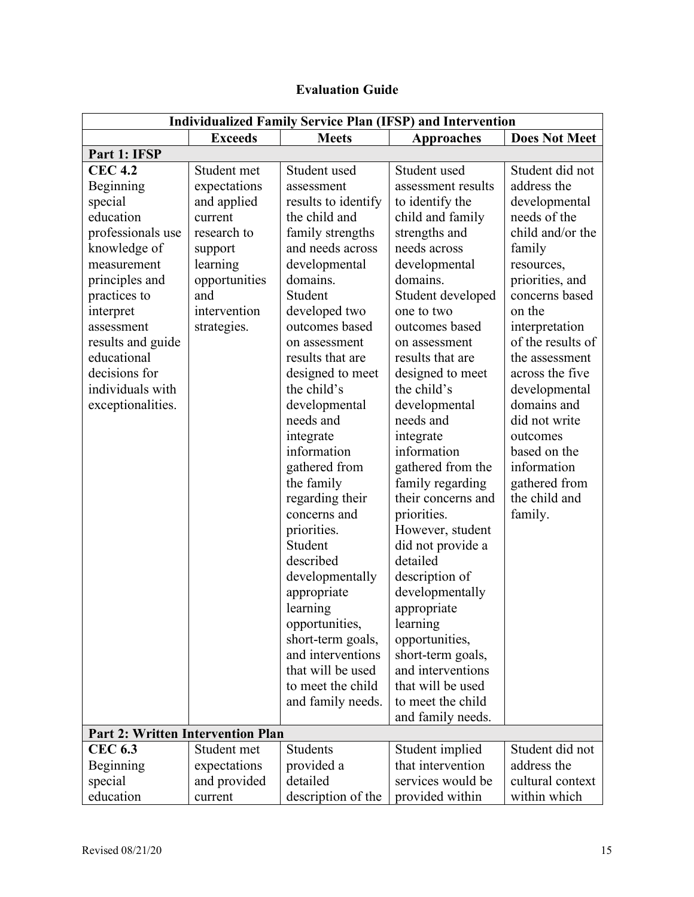| <b>Evaluation Guide</b> |  |
|-------------------------|--|
|-------------------------|--|

| <b>Individualized Family Service Plan (IFSP) and Intervention</b>                                                                                                                                                                                                  |                                                                                                                                                    |                                                                                                                                                                                                                                                                                                                                                                                                                                                                                                                                                                                                           |                                                                                                                                                                                                                                                                                                                                                                                                                                                                                                                                                                                                                                                              |                                                                                                                                                                                                                                                                                                                                                                                 |
|--------------------------------------------------------------------------------------------------------------------------------------------------------------------------------------------------------------------------------------------------------------------|----------------------------------------------------------------------------------------------------------------------------------------------------|-----------------------------------------------------------------------------------------------------------------------------------------------------------------------------------------------------------------------------------------------------------------------------------------------------------------------------------------------------------------------------------------------------------------------------------------------------------------------------------------------------------------------------------------------------------------------------------------------------------|--------------------------------------------------------------------------------------------------------------------------------------------------------------------------------------------------------------------------------------------------------------------------------------------------------------------------------------------------------------------------------------------------------------------------------------------------------------------------------------------------------------------------------------------------------------------------------------------------------------------------------------------------------------|---------------------------------------------------------------------------------------------------------------------------------------------------------------------------------------------------------------------------------------------------------------------------------------------------------------------------------------------------------------------------------|
|                                                                                                                                                                                                                                                                    | <b>Exceeds</b>                                                                                                                                     | <b>Meets</b>                                                                                                                                                                                                                                                                                                                                                                                                                                                                                                                                                                                              | <b>Approaches</b>                                                                                                                                                                                                                                                                                                                                                                                                                                                                                                                                                                                                                                            | <b>Does Not Meet</b>                                                                                                                                                                                                                                                                                                                                                            |
| Part 1: IFSP                                                                                                                                                                                                                                                       |                                                                                                                                                    |                                                                                                                                                                                                                                                                                                                                                                                                                                                                                                                                                                                                           |                                                                                                                                                                                                                                                                                                                                                                                                                                                                                                                                                                                                                                                              |                                                                                                                                                                                                                                                                                                                                                                                 |
| <b>CEC 4.2</b><br>Beginning<br>special<br>education<br>professionals use<br>knowledge of<br>measurement<br>principles and<br>practices to<br>interpret<br>assessment<br>results and guide<br>educational<br>decisions for<br>individuals with<br>exceptionalities. | Student met<br>expectations<br>and applied<br>current<br>research to<br>support<br>learning<br>opportunities<br>and<br>intervention<br>strategies. | Student used<br>assessment<br>results to identify<br>the child and<br>family strengths<br>and needs across<br>developmental<br>domains.<br>Student<br>developed two<br>outcomes based<br>on assessment<br>results that are<br>designed to meet<br>the child's<br>developmental<br>needs and<br>integrate<br>information<br>gathered from<br>the family<br>regarding their<br>concerns and<br>priorities.<br>Student<br>described<br>developmentally<br>appropriate<br>learning<br>opportunities,<br>short-term goals,<br>and interventions<br>that will be used<br>to meet the child<br>and family needs. | Student used<br>assessment results<br>to identify the<br>child and family<br>strengths and<br>needs across<br>developmental<br>domains.<br>Student developed<br>one to two<br>outcomes based<br>on assessment<br>results that are<br>designed to meet<br>the child's<br>developmental<br>needs and<br>integrate<br>information<br>gathered from the<br>family regarding<br>their concerns and<br>priorities.<br>However, student<br>did not provide a<br>detailed<br>description of<br>developmentally<br>appropriate<br>learning<br>opportunities,<br>short-term goals,<br>and interventions<br>that will be used<br>to meet the child<br>and family needs. | Student did not<br>address the<br>developmental<br>needs of the<br>child and/or the<br>family<br>resources,<br>priorities, and<br>concerns based<br>on the<br>interpretation<br>of the results of<br>the assessment<br>across the five<br>developmental<br>domains and<br>did not write<br>outcomes<br>based on the<br>information<br>gathered from<br>the child and<br>family. |
| <b>Part 2: Written Intervention Plan</b>                                                                                                                                                                                                                           |                                                                                                                                                    |                                                                                                                                                                                                                                                                                                                                                                                                                                                                                                                                                                                                           |                                                                                                                                                                                                                                                                                                                                                                                                                                                                                                                                                                                                                                                              |                                                                                                                                                                                                                                                                                                                                                                                 |
| <b>CEC 6.3</b>                                                                                                                                                                                                                                                     | Student met                                                                                                                                        | <b>Students</b>                                                                                                                                                                                                                                                                                                                                                                                                                                                                                                                                                                                           | Student implied                                                                                                                                                                                                                                                                                                                                                                                                                                                                                                                                                                                                                                              | Student did not                                                                                                                                                                                                                                                                                                                                                                 |
| Beginning                                                                                                                                                                                                                                                          | expectations                                                                                                                                       | provided a                                                                                                                                                                                                                                                                                                                                                                                                                                                                                                                                                                                                | that intervention                                                                                                                                                                                                                                                                                                                                                                                                                                                                                                                                                                                                                                            | address the                                                                                                                                                                                                                                                                                                                                                                     |
| special                                                                                                                                                                                                                                                            | and provided                                                                                                                                       | detailed                                                                                                                                                                                                                                                                                                                                                                                                                                                                                                                                                                                                  | services would be                                                                                                                                                                                                                                                                                                                                                                                                                                                                                                                                                                                                                                            | cultural context                                                                                                                                                                                                                                                                                                                                                                |
| education                                                                                                                                                                                                                                                          | current                                                                                                                                            | description of the                                                                                                                                                                                                                                                                                                                                                                                                                                                                                                                                                                                        | provided within                                                                                                                                                                                                                                                                                                                                                                                                                                                                                                                                                                                                                                              | within which                                                                                                                                                                                                                                                                                                                                                                    |